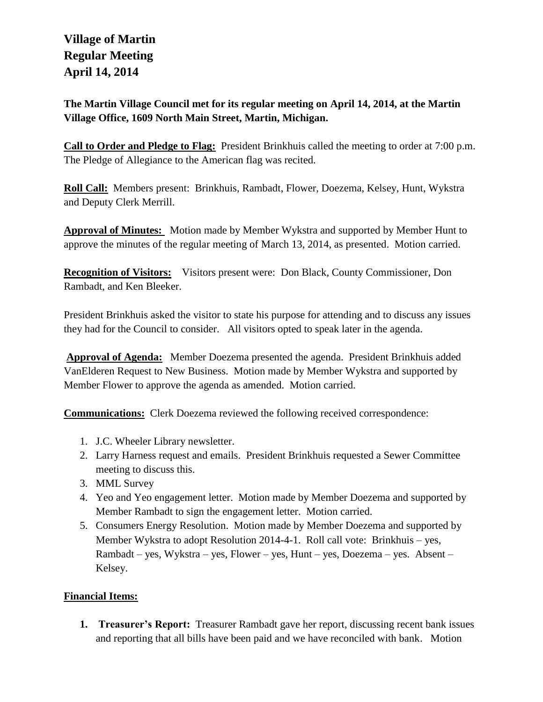# **Village of Martin Regular Meeting April 14, 2014**

**The Martin Village Council met for its regular meeting on April 14, 2014, at the Martin Village Office, 1609 North Main Street, Martin, Michigan.**

**Call to Order and Pledge to Flag:** President Brinkhuis called the meeting to order at 7:00 p.m. The Pledge of Allegiance to the American flag was recited.

**Roll Call:** Members present: Brinkhuis, Rambadt, Flower, Doezema, Kelsey, Hunt, Wykstra and Deputy Clerk Merrill.

**Approval of Minutes:** Motion made by Member Wykstra and supported by Member Hunt to approve the minutes of the regular meeting of March 13, 2014, as presented. Motion carried.

**Recognition of Visitors:** Visitors present were: Don Black, County Commissioner, Don Rambadt, and Ken Bleeker.

President Brinkhuis asked the visitor to state his purpose for attending and to discuss any issues they had for the Council to consider. All visitors opted to speak later in the agenda.

**Approval of Agenda:** Member Doezema presented the agenda. President Brinkhuis added VanElderen Request to New Business. Motion made by Member Wykstra and supported by Member Flower to approve the agenda as amended. Motion carried.

**Communications:** Clerk Doezema reviewed the following received correspondence:

- 1. J.C. Wheeler Library newsletter.
- 2. Larry Harness request and emails. President Brinkhuis requested a Sewer Committee meeting to discuss this.
- 3. MML Survey
- 4. Yeo and Yeo engagement letter. Motion made by Member Doezema and supported by Member Rambadt to sign the engagement letter. Motion carried.
- 5. Consumers Energy Resolution. Motion made by Member Doezema and supported by Member Wykstra to adopt Resolution 2014-4-1. Roll call vote: Brinkhuis – yes, Rambadt – yes, Wykstra – yes, Flower – yes, Hunt – yes, Doezema – yes. Absent – Kelsey.

## **Financial Items:**

**1. Treasurer's Report:** Treasurer Rambadt gave her report, discussing recent bank issues and reporting that all bills have been paid and we have reconciled with bank. Motion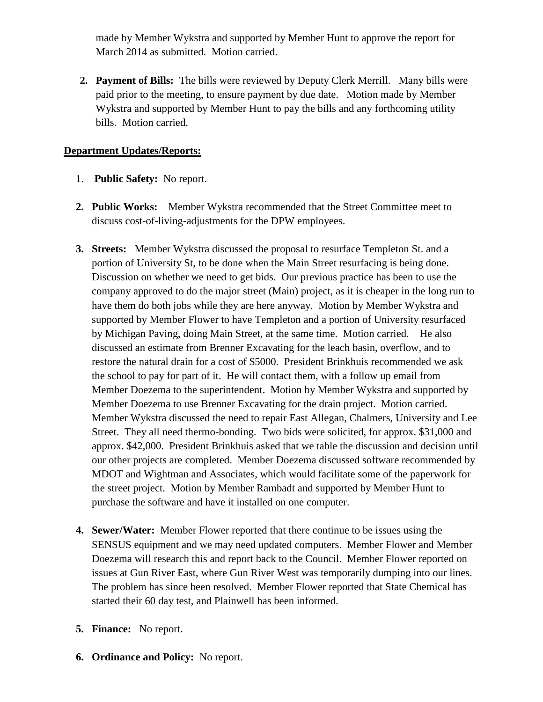made by Member Wykstra and supported by Member Hunt to approve the report for March 2014 as submitted. Motion carried.

**2. Payment of Bills:** The bills were reviewed by Deputy Clerk Merrill. Many bills were paid prior to the meeting, to ensure payment by due date. Motion made by Member Wykstra and supported by Member Hunt to pay the bills and any forthcoming utility bills. Motion carried.

## **Department Updates/Reports:**

- 1. **Public Safety:** No report.
- **2. Public Works:** Member Wykstra recommended that the Street Committee meet to discuss cost-of-living-adjustments for the DPW employees.
- **3. Streets:** Member Wykstra discussed the proposal to resurface Templeton St. and a portion of University St, to be done when the Main Street resurfacing is being done. Discussion on whether we need to get bids. Our previous practice has been to use the company approved to do the major street (Main) project, as it is cheaper in the long run to have them do both jobs while they are here anyway. Motion by Member Wykstra and supported by Member Flower to have Templeton and a portion of University resurfaced by Michigan Paving, doing Main Street, at the same time. Motion carried. He also discussed an estimate from Brenner Excavating for the leach basin, overflow, and to restore the natural drain for a cost of \$5000.President Brinkhuis recommended we ask the school to pay for part of it. He will contact them, with a follow up email from Member Doezema to the superintendent. Motion by Member Wykstra and supported by Member Doezema to use Brenner Excavating for the drain project. Motion carried. Member Wykstra discussed the need to repair East Allegan, Chalmers, University and Lee Street. They all need thermo-bonding. Two bids were solicited, for approx. \$31,000 and approx. \$42,000. President Brinkhuis asked that we table the discussion and decision until our other projects are completed. Member Doezema discussed software recommended by MDOT and Wightman and Associates, which would facilitate some of the paperwork for the street project. Motion by Member Rambadt and supported by Member Hunt to purchase the software and have it installed on one computer.
- **4. Sewer/Water:** Member Flower reported that there continue to be issues using the SENSUS equipment and we may need updated computers. Member Flower and Member Doezema will research this and report back to the Council. Member Flower reported on issues at Gun River East, where Gun River West was temporarily dumping into our lines. The problem has since been resolved. Member Flower reported that State Chemical has started their 60 day test, and Plainwell has been informed.
- **5. Finance:** No report.
- **6. Ordinance and Policy:** No report.